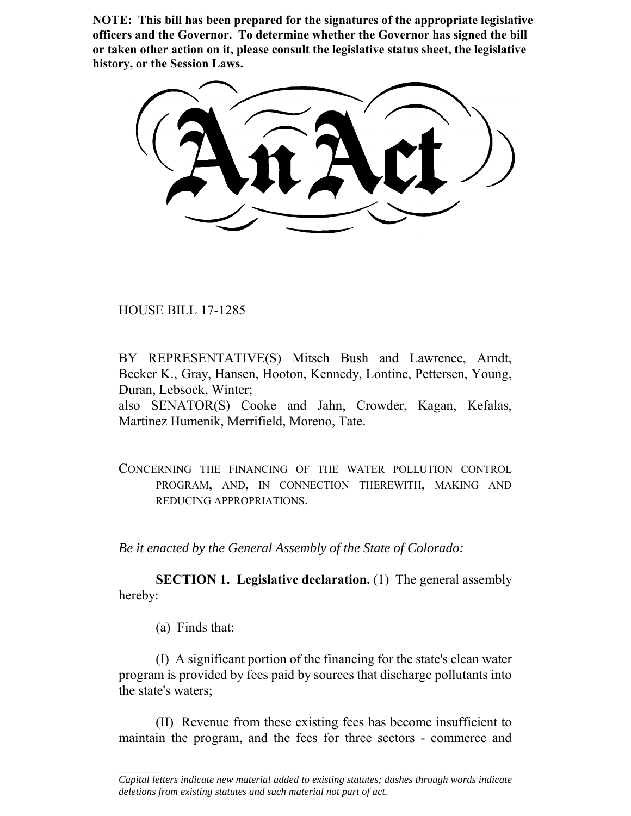**NOTE: This bill has been prepared for the signatures of the appropriate legislative officers and the Governor. To determine whether the Governor has signed the bill or taken other action on it, please consult the legislative status sheet, the legislative history, or the Session Laws.**

HOUSE BILL 17-1285

BY REPRESENTATIVE(S) Mitsch Bush and Lawrence, Arndt, Becker K., Gray, Hansen, Hooton, Kennedy, Lontine, Pettersen, Young, Duran, Lebsock, Winter;

also SENATOR(S) Cooke and Jahn, Crowder, Kagan, Kefalas, Martinez Humenik, Merrifield, Moreno, Tate.

CONCERNING THE FINANCING OF THE WATER POLLUTION CONTROL PROGRAM, AND, IN CONNECTION THEREWITH, MAKING AND REDUCING APPROPRIATIONS.

*Be it enacted by the General Assembly of the State of Colorado:*

**SECTION 1. Legislative declaration.** (1) The general assembly hereby:

(a) Finds that:

 $\frac{1}{2}$ 

(I) A significant portion of the financing for the state's clean water program is provided by fees paid by sources that discharge pollutants into the state's waters;

(II) Revenue from these existing fees has become insufficient to maintain the program, and the fees for three sectors - commerce and

*Capital letters indicate new material added to existing statutes; dashes through words indicate deletions from existing statutes and such material not part of act.*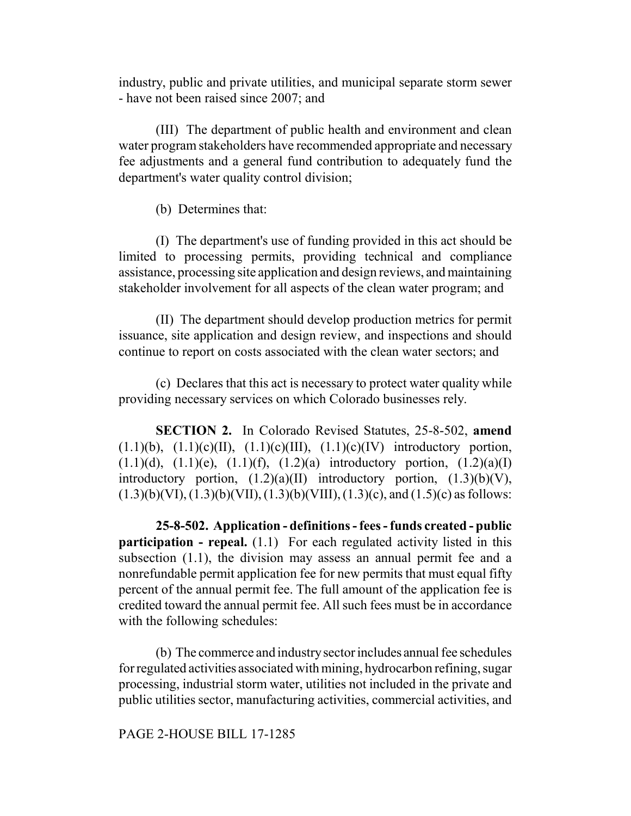industry, public and private utilities, and municipal separate storm sewer - have not been raised since 2007; and

(III) The department of public health and environment and clean water program stakeholders have recommended appropriate and necessary fee adjustments and a general fund contribution to adequately fund the department's water quality control division;

(b) Determines that:

(I) The department's use of funding provided in this act should be limited to processing permits, providing technical and compliance assistance, processing site application and design reviews, and maintaining stakeholder involvement for all aspects of the clean water program; and

(II) The department should develop production metrics for permit issuance, site application and design review, and inspections and should continue to report on costs associated with the clean water sectors; and

(c) Declares that this act is necessary to protect water quality while providing necessary services on which Colorado businesses rely.

**SECTION 2.** In Colorado Revised Statutes, 25-8-502, **amend**  $(1.1)(b)$ ,  $(1.1)(c)(II)$ ,  $(1.1)(c)(III)$ ,  $(1.1)(c)(IV)$  introductory portion,  $(1.1)(d)$ ,  $(1.1)(e)$ ,  $(1.1)(f)$ ,  $(1.2)(a)$  introductory portion,  $(1.2)(a)(I)$ introductory portion,  $(1.2)(a)(II)$  introductory portion,  $(1.3)(b)(V)$ ,  $(1.3)(b)(VI), (1.3)(b)(VII), (1.3)(b)(VIII), (1.3)(c), and (1.5)(c)$  as follows:

**25-8-502. Application - definitions - fees - funds created - public participation - repeal.** (1.1) For each regulated activity listed in this subsection (1.1), the division may assess an annual permit fee and a nonrefundable permit application fee for new permits that must equal fifty percent of the annual permit fee. The full amount of the application fee is credited toward the annual permit fee. All such fees must be in accordance with the following schedules:

(b) The commerce and industry sector includes annual fee schedules for regulated activities associated with mining, hydrocarbon refining, sugar processing, industrial storm water, utilities not included in the private and public utilities sector, manufacturing activities, commercial activities, and

#### PAGE 2-HOUSE BILL 17-1285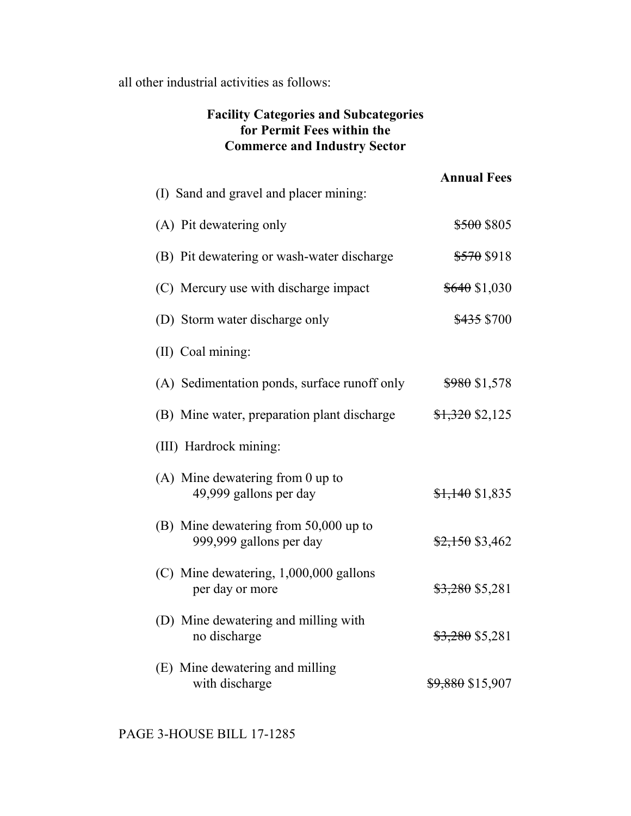all other industrial activities as follows:

# **Facility Categories and Subcategories for Permit Fees within the Commerce and Industry Sector**

| (I) Sand and gravel and placer mining:                           | <b>Annual Fees</b>          |
|------------------------------------------------------------------|-----------------------------|
| (A) Pit dewatering only                                          | <del>\$500</del> \$805      |
| (B) Pit dewatering or wash-water discharge                       | \$570 \$918                 |
| (C) Mercury use with discharge impact                            | $$640$ \$1,030              |
| (D) Storm water discharge only                                   | \$435 \$700                 |
| (II) Coal mining:                                                |                             |
| (A) Sedimentation ponds, surface runoff only                     | $$980$ \$1,578              |
| (B) Mine water, preparation plant discharge                      | $$1,320$ \$2,125            |
| (III) Hardrock mining:                                           |                             |
| $(A)$ Mine dewatering from 0 up to<br>49,999 gallons per day     | $$1,140$ \$1,835            |
| (B) Mine dewatering from 50,000 up to<br>999,999 gallons per day | $$2,150$ \$3,462            |
| $(C)$ Mine dewatering, 1,000,000 gallons<br>per day or more      | $$3,280$ \$5,281            |
| (D) Mine dewatering and milling with<br>no discharge             | $$3,280$ \$5,281            |
| (E) Mine dewatering and milling<br>with discharge                | <del>\$9,880</del> \$15,907 |

PAGE 3-HOUSE BILL 17-1285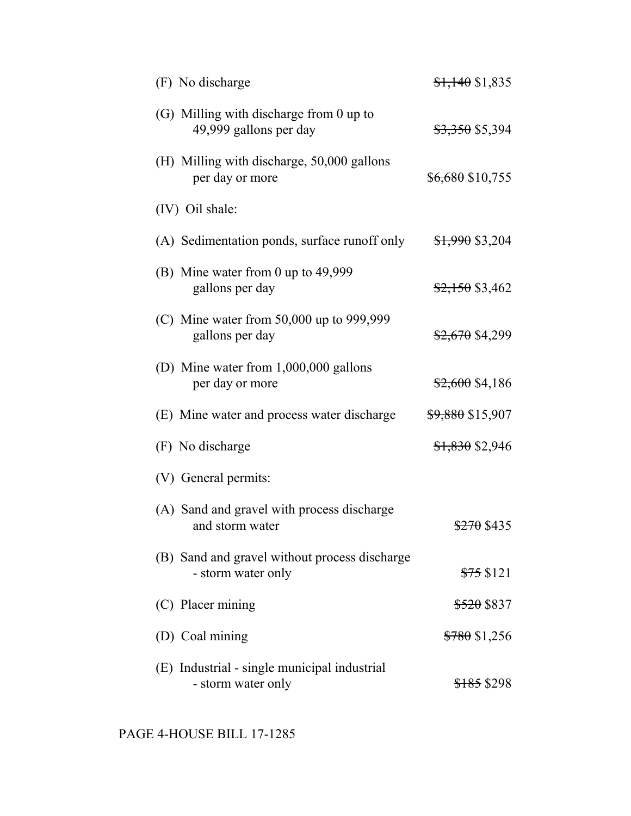| (F) No discharge                                                    | $\frac{$1,140}{$1,835}$     |
|---------------------------------------------------------------------|-----------------------------|
| (G) Milling with discharge from 0 up to<br>49,999 gallons per day   | <del>\$3,350</del> \$5,394  |
| (H) Milling with discharge, 50,000 gallons<br>per day or more       | \$6,680 \$10,755            |
| (IV) Oil shale:                                                     |                             |
| (A) Sedimentation ponds, surface runoff only                        | <del>\$1,990</del> \$3,204  |
| (B) Mine water from 0 up to 49,999<br>gallons per day               | $$2,150$ \$3,462            |
| (C) Mine water from $50,000$ up to $999,999$<br>gallons per day     | \$2,670 \$4,299             |
| (D) Mine water from 1,000,000 gallons<br>per day or more            | $$2,600$ \$4,186            |
| (E) Mine water and process water discharge                          | <del>\$9,880</del> \$15,907 |
| (F) No discharge                                                    | \$1,830 \$2,946             |
| (V) General permits:                                                |                             |
| (A) Sand and gravel with process discharge<br>and storm water       | <del>\$270</del> \$435      |
| (B) Sand and gravel without process discharge<br>- storm water only | $$75$ \$121                 |
| (C) Placer mining                                                   | <del>\$520</del> \$837      |
| (D) Coal mining                                                     | $$780$ \$1,256              |
| (E) Industrial - single municipal industrial<br>- storm water only  | <del>\$185</del> \$298      |

PAGE 4-HOUSE BILL 17-1285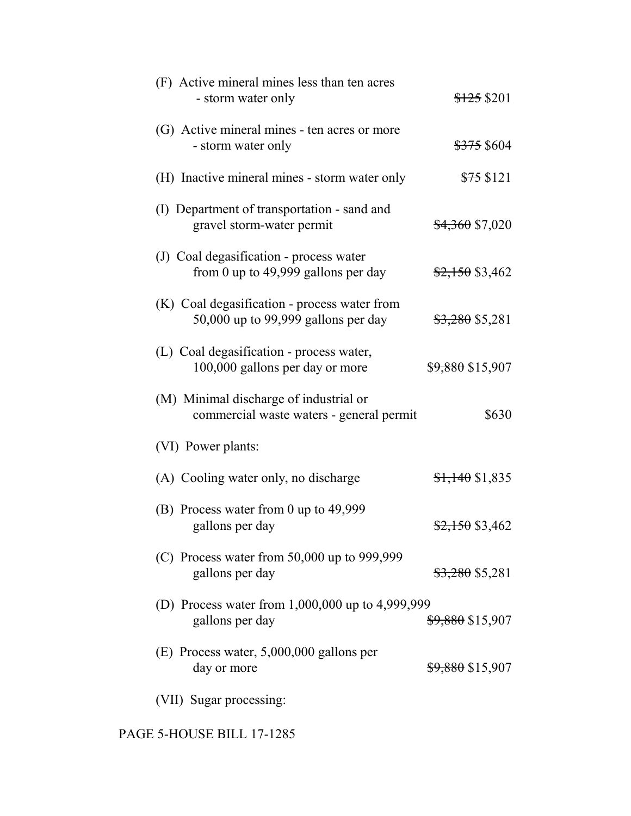| (F) Active mineral mines less than ten acres<br>- storm water only                  | <del>\$125</del> \$201      |
|-------------------------------------------------------------------------------------|-----------------------------|
| (G) Active mineral mines - ten acres or more<br>- storm water only                  | <del>\$375</del> \$604      |
| (H) Inactive mineral mines - storm water only                                       | $$75$ \$121                 |
| (I) Department of transportation - sand and<br>gravel storm-water permit            | \$4,360 \$7,020             |
| (J) Coal degasification - process water<br>from 0 up to $49,999$ gallons per day    | $$2,150$ \$3,462            |
| (K) Coal degasification - process water from<br>50,000 up to 99,999 gallons per day | $$3,280$ \$5,281            |
| (L) Coal degasification - process water,<br>100,000 gallons per day or more         | <del>\$9,880</del> \$15,907 |
| (M) Minimal discharge of industrial or<br>commercial waste waters - general permit  | \$630                       |
| (VI) Power plants:                                                                  |                             |
| (A) Cooling water only, no discharge                                                | $\frac{$1,140}{$1,835}$     |
| (B) Process water from 0 up to 49,999<br>gallons per day                            | $$2,150$ \$3,462            |
| (C) Process water from 50,000 up to 999,999<br>gallons per day                      | <del>\$3,280</del> \$5,281  |
| (D) Process water from 1,000,000 up to 4,999,999<br>gallons per day                 | <del>\$9,880</del> \$15,907 |
| $(E)$ Process water, 5,000,000 gallons per<br>day or more                           | <del>\$9,880</del> \$15,907 |
| (VII) Sugar processing:                                                             |                             |

PAGE 5-HOUSE BILL 17-1285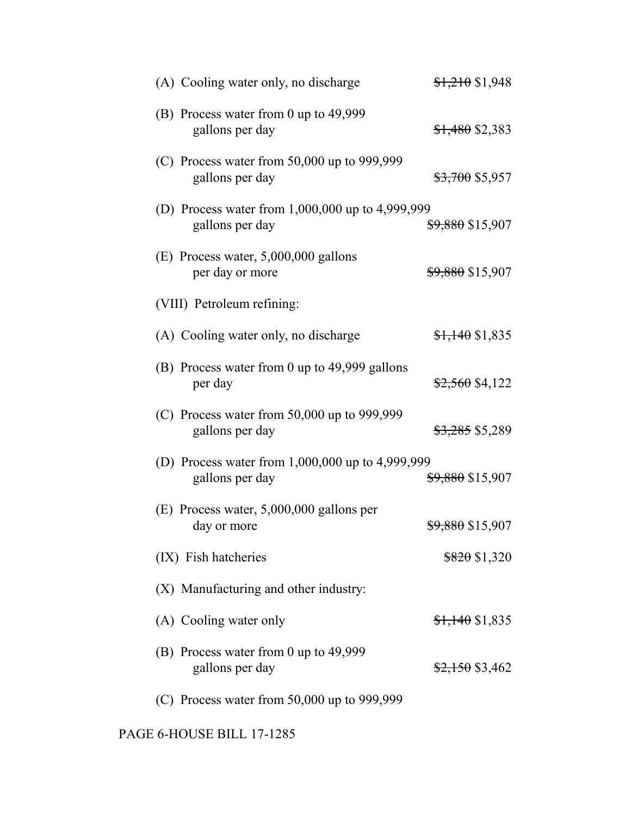| (A) Cooling water only, no discharge                                    | $$1,210$ \$1,948            |
|-------------------------------------------------------------------------|-----------------------------|
| (B) Process water from 0 up to 49,999<br>gallons per day                | $$1,480$ \$2,383            |
| (C) Process water from $50,000$ up to 999,999<br>gallons per day        | <del>\$3,700</del> \$5,957  |
| (D) Process water from $1,000,000$ up to $4,999,999$<br>gallons per day | \$9,880 \$15,907            |
| $(E)$ Process water, 5,000,000 gallons<br>per day or more               | <del>\$9,880</del> \$15,907 |
| (VIII) Petroleum refining:                                              |                             |
| (A) Cooling water only, no discharge                                    | <del>\$1,140</del> \$1,835  |
| (B) Process water from 0 up to 49,999 gallons<br>per day                | <del>\$2,560</del> \$4,122  |
| (C) Process water from $50,000$ up to 999,999<br>gallons per day        | <del>\$3,285</del> \$5,289  |
| (D) Process water from 1,000,000 up to 4,999,999<br>gallons per day     | <del>\$9,880</del> \$15,907 |
| $(E)$ Process water, 5,000,000 gallons per<br>day or more               | <del>\$9,880</del> \$15,907 |
| (IX) Fish hatcheries                                                    | $$820$ \$1,320              |
| (X) Manufacturing and other industry:                                   |                             |
| (A) Cooling water only                                                  | $$1,140$ \$1,835            |
| (B) Process water from 0 up to 49,999<br>gallons per day                | <del>\$2,150</del> \$3,462  |
| (C) Process water from $50,000$ up to $999,999$                         |                             |

PAGE 6-HOUSE BILL 17-1285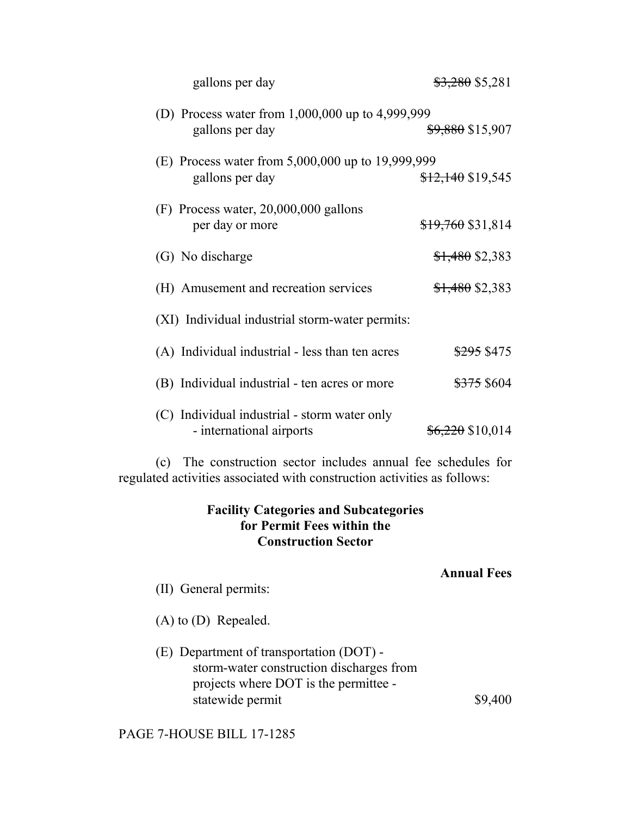| gallons per day                                                          | <del>\$3,280</del> \$5,281  |
|--------------------------------------------------------------------------|-----------------------------|
| (D) Process water from $1,000,000$ up to $4,999,999$<br>gallons per day  | <del>\$9,880</del> \$15,907 |
| (E) Process water from 5,000,000 up to 19,999,999<br>gallons per day     | $$12,140$ \$19,545          |
| $(F)$ Process water, 20,000,000 gallons<br>per day or more               | $$19,760$ \$31,814          |
| (G) No discharge                                                         | $$1,480$ \$2,383            |
| (H) Amusement and recreation services                                    | $$1,480$ \$2,383            |
| (XI) Individual industrial storm-water permits:                          |                             |
| (A) Individual industrial - less than ten acres                          | \$295 \$475                 |
| (B) Individual industrial - ten acres or more                            | <del>\$375</del> \$604      |
| (C) Individual industrial - storm water only<br>- international airports | <del>\$6,220</del> \$10,014 |

(c) The construction sector includes annual fee schedules for regulated activities associated with construction activities as follows:

## **Facility Categories and Subcategories for Permit Fees within the Construction Sector**

## **Annual Fees**

- (II) General permits:
- (A) to (D) Repealed.
- (E) Department of transportation (DOT) storm-water construction discharges from projects where DOT is the permittee statewide permit  $\qquad$  \$9,400

PAGE 7-HOUSE BILL 17-1285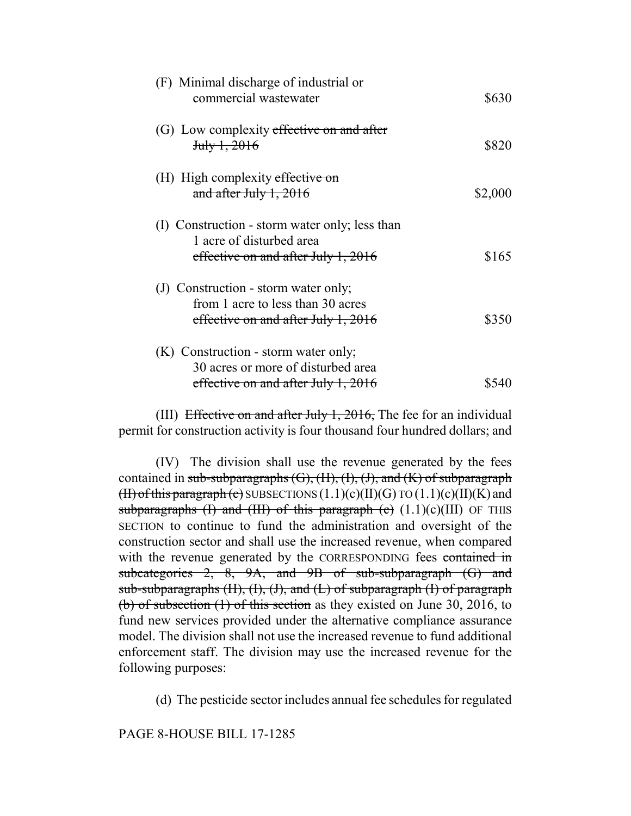| (F) Minimal discharge of industrial or<br>commercial wastewater                                                   | \$630   |
|-------------------------------------------------------------------------------------------------------------------|---------|
| (G) Low complexity effective on and after<br>$J_{\rm{t}}$ $J_{\rm{t}}$ $J_{\rm{t}}$ $2016$                        | \$820   |
| (H) High complexity effective on<br>and after July $1, 2016$                                                      | \$2,000 |
| (I) Construction - storm water only; less than<br>1 acre of disturbed area<br>effective on and after July 1, 2016 | \$165   |
| (J) Construction - storm water only;<br>from 1 acre to less than 30 acres<br>effective on and after July 1, 2016  | \$350   |
| (K) Construction - storm water only;<br>30 acres or more of disturbed area<br>effective on and after July 1, 2016 |         |

(III) Effective on and after July 1, 2016, The fee for an individual permit for construction activity is four thousand four hundred dollars; and

(IV) The division shall use the revenue generated by the fees contained in sub-subparagraphs  $(G)$ ,  $(H)$ ,  $(H)$ ,  $(H)$ , and  $(K)$  of subparagraph (II) of this paragraph (c) SUBSECTIONS  $(1.1)(c)(II)(G)$  TO  $(1.1)(c)(II)(K)$  and subparagraphs (I) and (III) of this paragraph (c)  $(1.1)(c)(III)$  OF THIS SECTION to continue to fund the administration and oversight of the construction sector and shall use the increased revenue, when compared with the revenue generated by the CORRESPONDING fees contained in subcategories 2, 8, 9A, and 9B of sub-subparagraph (G) and sub-subparagraphs  $(H)$ ,  $(H)$ ,  $(H)$ , and  $(H)$  of subparagraph  $(H)$  of paragraph (b) of subsection (1) of this section as they existed on June 30, 2016, to fund new services provided under the alternative compliance assurance model. The division shall not use the increased revenue to fund additional enforcement staff. The division may use the increased revenue for the following purposes:

(d) The pesticide sector includes annual fee schedules for regulated

PAGE 8-HOUSE BILL 17-1285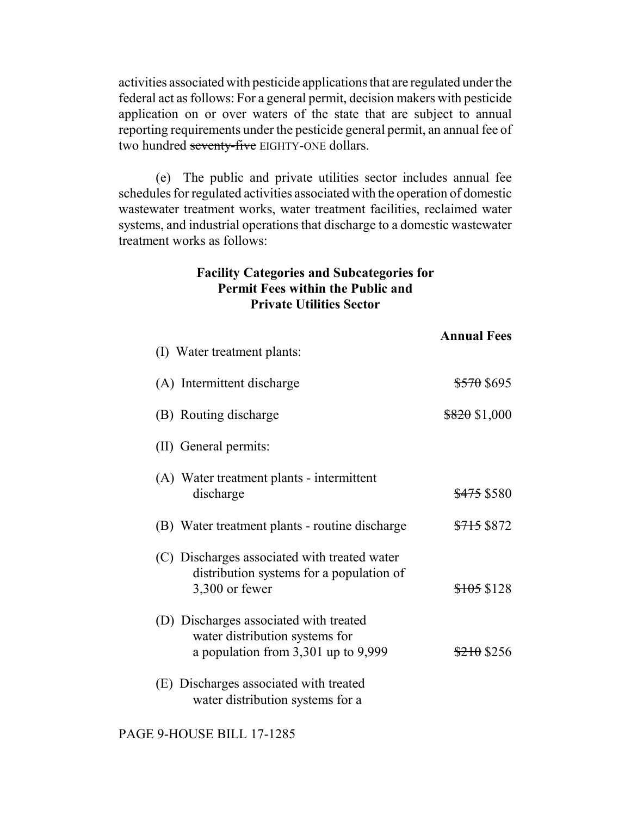activities associated with pesticide applications that are regulated under the federal act as follows: For a general permit, decision makers with pesticide application on or over waters of the state that are subject to annual reporting requirements under the pesticide general permit, an annual fee of two hundred seventy-five EIGHTY-ONE dollars.

(e) The public and private utilities sector includes annual fee schedules for regulated activities associated with the operation of domestic wastewater treatment works, water treatment facilities, reclaimed water systems, and industrial operations that discharge to a domestic wastewater treatment works as follows:

#### **Facility Categories and Subcategories for Permit Fees within the Public and Private Utilities Sector**

|                                                                                                                     | <b>Annual Fees</b>     |
|---------------------------------------------------------------------------------------------------------------------|------------------------|
| (I) Water treatment plants:                                                                                         |                        |
| (A) Intermittent discharge                                                                                          | <del>\$570</del> \$695 |
| (B) Routing discharge                                                                                               | $$820$ \$1,000         |
| (II) General permits:                                                                                               |                        |
| (A) Water treatment plants - intermittent<br>discharge                                                              | <del>\$475</del> \$580 |
| (B) Water treatment plants - routine discharge                                                                      | <del>\$715</del> \$872 |
| (C) Discharges associated with treated water<br>distribution systems for a population of<br>3,300 or fewer          | \$105\$128             |
| (D) Discharges associated with treated<br>water distribution systems for<br>a population from $3,301$ up to $9,999$ | $$210$ \$256           |
| (E) Discharges associated with treated<br>water distribution systems for a                                          |                        |

PAGE 9-HOUSE BILL 17-1285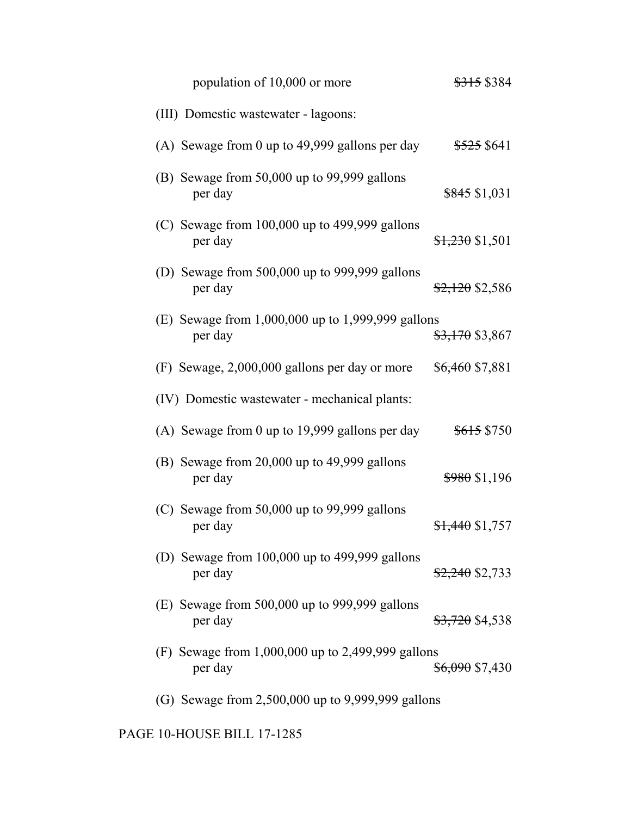| population of 10,000 or more                                     | <del>\$315</del> \$384     |
|------------------------------------------------------------------|----------------------------|
| (III) Domestic wastewater - lagoons:                             |                            |
| (A) Sewage from 0 up to 49,999 gallons per day                   | <del>\$525</del> \$641     |
| (B) Sewage from 50,000 up to 99,999 gallons<br>per day           | $$845$ \$1,031             |
| (C) Sewage from $100,000$ up to $499,999$ gallons<br>per day     | $$1,230$ \$1,501           |
| (D) Sewage from 500,000 up to 999,999 gallons<br>per day         | $$2,120$ \$2,586           |
| (E) Sewage from $1,000,000$ up to $1,999,999$ gallons<br>per day | <del>\$3,170</del> \$3,867 |
| (F) Sewage, 2,000,000 gallons per day or more                    | $$6,460$ \$7,881           |
| (IV) Domestic wastewater - mechanical plants:                    |                            |
| (A) Sewage from 0 up to 19,999 gallons per day                   | <del>\$615</del> \$750     |
| (B) Sewage from $20,000$ up to $49,999$ gallons<br>per day       | $$980$ \$1,196             |
| (C) Sewage from $50,000$ up to $99,999$ gallons<br>per day       | $$1,440$ \$1,757           |
| (D) Sewage from $100,000$ up to $499,999$ gallons<br>per day     | $$2,240$ \$2,733           |
| (E) Sewage from $500,000$ up to $999,999$ gallons<br>per day     | <del>\$3,720</del> \$4,538 |
| (F) Sewage from $1,000,000$ up to 2,499,999 gallons<br>per day   | <del>\$6,090</del> \$7,430 |
| (G) Sewage from 2,500,000 up to 9,999,999 gallons                |                            |

# PAGE 10-HOUSE BILL 17-1285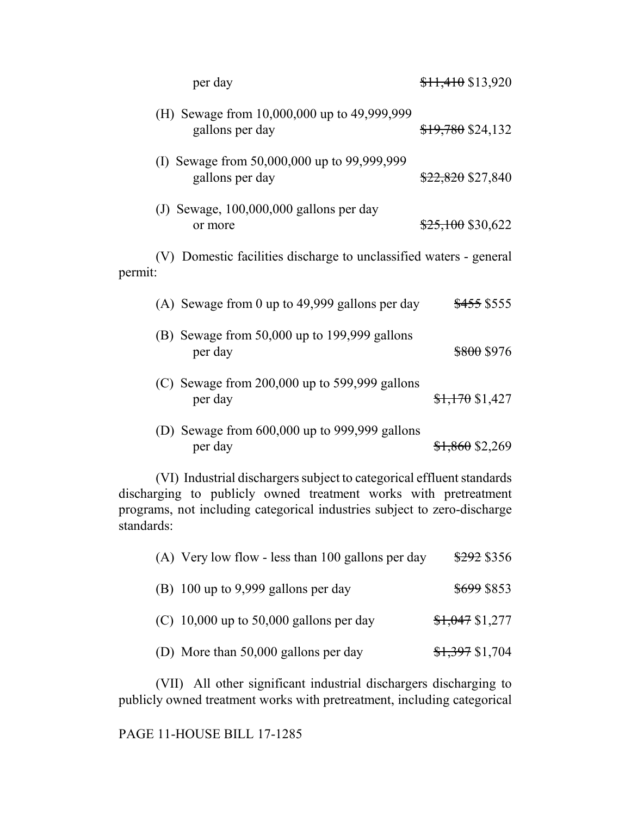| per day                                                                       | $$11,410$ \$13,920           |
|-------------------------------------------------------------------------------|------------------------------|
| (H) Sewage from 10,000,000 up to 49,999,999<br>gallons per day                | \$19,780 \$24,132            |
| (I) Sewage from 50,000,000 up to 99,999,999<br>gallons per day                | <del>\$22,820</del> \$27,840 |
| (J) Sewage, $100,000,000$ gallons per day<br>or more                          | $$25,100$ \$30,622           |
| (V) Domestic facilities discharge to unclassified waters - general<br>permit: |                              |
| (A) Sewage from 0 up to 49,999 gallons per day                                | \$455 \$555                  |
| (B) Sewage from $50,000$ up to 199,999 gallons<br>per day                     | <del>\$800</del> \$976       |
| (C) Sewage from $200,000$ up to 599,999 gallons<br>per day                    | $$1,170$ \$1,427             |
| Sewage from 600,000 up to 999,999 gallons<br>(D)                              |                              |

| (D) Sewage from $600,000$ up to 999,999 gallons |                            |
|-------------------------------------------------|----------------------------|
| per day                                         | <del>\$1,860</del> \$2,269 |

(VI) Industrial dischargers subject to categorical effluent standards discharging to publicly owned treatment works with pretreatment programs, not including categorical industries subject to zero-discharge standards:

| (A) Very low flow - less than 100 gallons per day | \$292 \$356      |
|---------------------------------------------------|------------------|
| (B) 100 up to 9,999 gallons per day               | \$699 \$853      |
| (C) 10,000 up to 50,000 gallons per day           | $$1,047$ \$1,277 |
| (D) More than 50,000 gallons per day              | $$1,397$ \$1,704 |

(VII) All other significant industrial dischargers discharging to publicly owned treatment works with pretreatment, including categorical

PAGE 11-HOUSE BILL 17-1285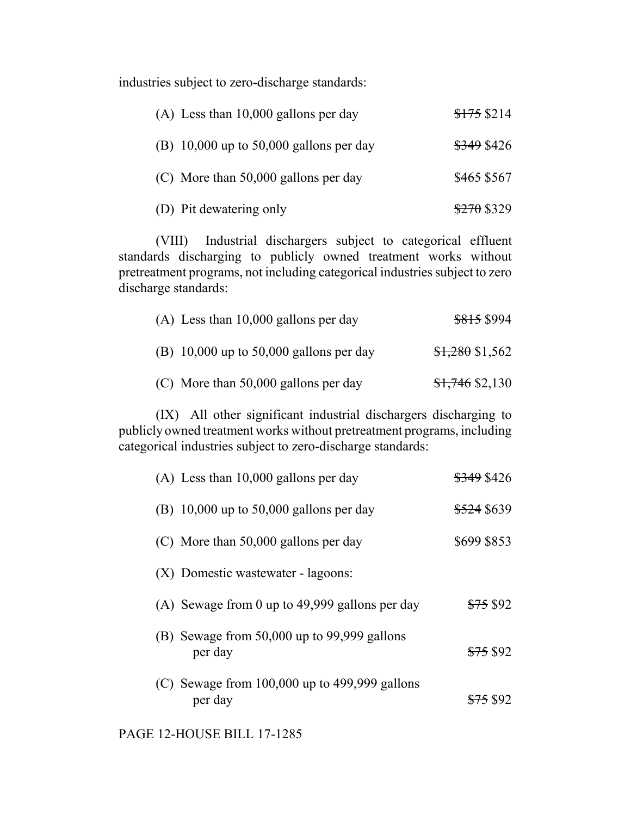industries subject to zero-discharge standards:

| $(A)$ Less than 10,000 gallons per day      | \$175\$214             |
|---------------------------------------------|------------------------|
| (B) $10,000$ up to $50,000$ gallons per day | <del>\$349</del> \$426 |
| (C) More than 50,000 gallons per day        | <del>\$465</del> \$567 |
| (D) Pit dewatering only                     | $$270$ \$329           |

(VIII) Industrial dischargers subject to categorical effluent standards discharging to publicly owned treatment works without pretreatment programs, not including categorical industries subject to zero discharge standards:

| $(A)$ Less than 10,000 gallons per day    | \$815 \$994      |
|-------------------------------------------|------------------|
| (B) $10,000$ up to 50,000 gallons per day | $$1,280$ \$1,562 |
| (C) More than 50,000 gallons per day      | $$1,746$ \$2,130 |

(IX) All other significant industrial dischargers discharging to publicly owned treatment works without pretreatment programs, including categorical industries subject to zero-discharge standards:

| $(A)$ Less than 10,000 gallons per day                       | <del>\$349</del> \$426 |
|--------------------------------------------------------------|------------------------|
| (B) 10,000 up to 50,000 gallons per day                      | <del>\$524</del> \$639 |
| $(C)$ More than 50,000 gallons per day                       | <del>\$699</del> \$853 |
| (X) Domestic wastewater - lagoons:                           |                        |
| (A) Sewage from 0 up to 49,999 gallons per day               | <del>\$75</del> \$92   |
| (B) Sewage from $50,000$ up to $99,999$ gallons<br>per day   | <del>\$75</del> \$92   |
| (C) Sewage from $100,000$ up to $499,999$ gallons<br>per day | <del>\$75</del> \$92   |

PAGE 12-HOUSE BILL 17-1285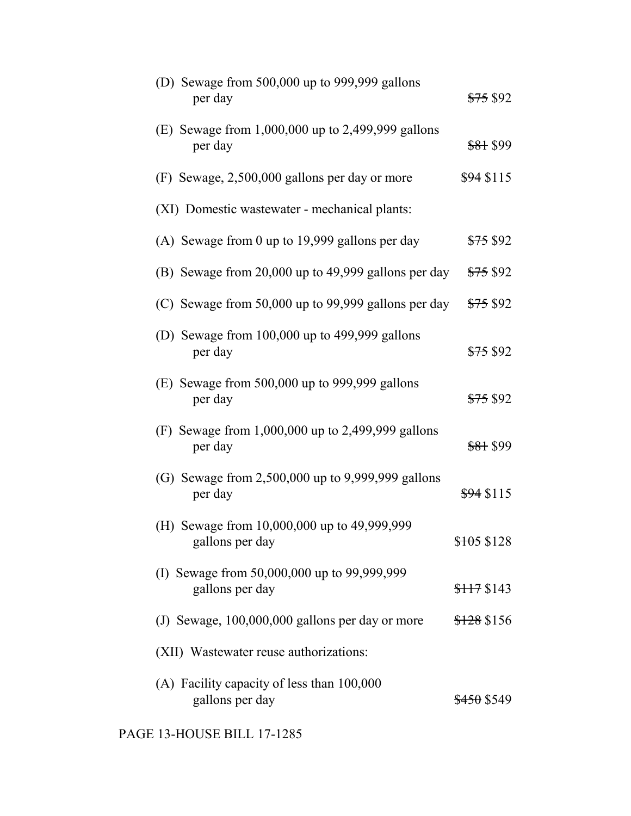| (D) Sewage from 500,000 up to 999,999 gallons<br>per day       | <del>\$75</del> \$92   |
|----------------------------------------------------------------|------------------------|
| (E) Sewage from $1,000,000$ up to 2,499,999 gallons<br>per day | <del>\$81</del> \$99   |
| (F) Sewage, 2,500,000 gallons per day or more                  | $$94$ \$115            |
| (XI) Domestic wastewater - mechanical plants:                  |                        |
| (A) Sewage from 0 up to 19,999 gallons per day                 | <del>\$75</del> \$92   |
| (B) Sewage from 20,000 up to 49,999 gallons per day            | <del>\$75</del> \$92   |
| (C) Sewage from $50,000$ up to 99,999 gallons per day          | <del>\$75</del> \$92   |
| (D) Sewage from $100,000$ up to $499,999$ gallons<br>per day   | <del>\$75</del> \$92   |
| $(E)$ Sewage from 500,000 up to 999,999 gallons<br>per day     | <del>\$75</del> \$92   |
| (F) Sewage from 1,000,000 up to 2,499,999 gallons<br>per day   | <del>\$81</del> \$99   |
| (G) Sewage from 2,500,000 up to 9,999,999 gallons<br>per day   | $$94$ \$115            |
| (H) Sewage from 10,000,000 up to 49,999,999<br>gallons per day | \$105 \$128            |
| (I) Sewage from 50,000,000 up to 99,999,999<br>gallons per day | \$117\$143             |
| (J) Sewage, 100,000,000 gallons per day or more                | <del>\$128</del> \$156 |
| (XII) Wastewater reuse authorizations:                         |                        |
| (A) Facility capacity of less than 100,000<br>gallons per day  | <del>\$450</del> \$549 |

PAGE 13-HOUSE BILL 17-1285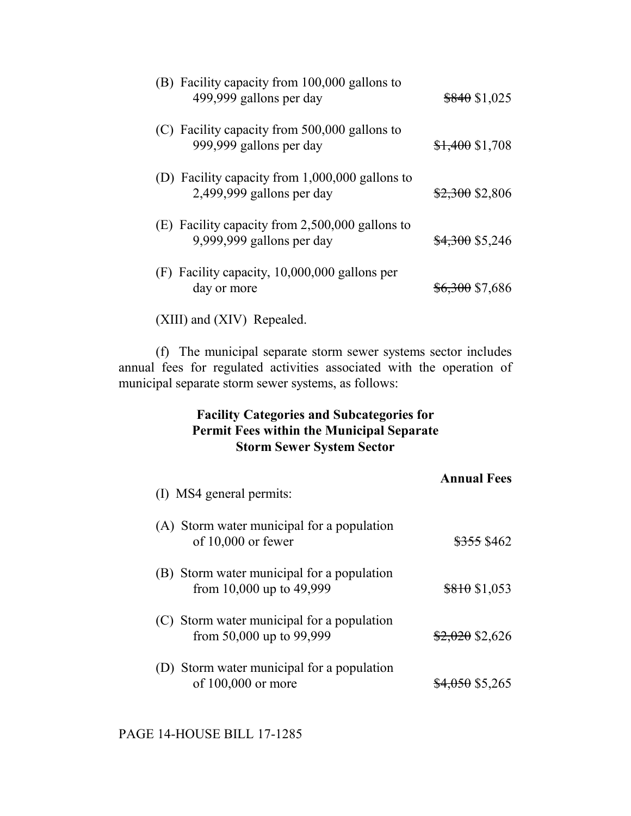| (B) Facility capacity from 100,000 gallons to<br>499,999 gallons per day       | $$840$ \$1,025             |
|--------------------------------------------------------------------------------|----------------------------|
| (C) Facility capacity from 500,000 gallons to<br>999,999 gallons per day       | $$1,400$ \$1,708           |
| (D) Facility capacity from $1,000,000$ gallons to<br>2,499,999 gallons per day | $$2,300$ \$2,806           |
| (E) Facility capacity from $2,500,000$ gallons to<br>9,999,999 gallons per day | <del>\$4,300</del> \$5,246 |
| $(F)$ Facility capacity, 10,000,000 gallons per<br>day or more                 | <del>\$6,300</del> \$7,686 |
| (XIII) and (XIV) Repealed.                                                     |                            |

(f) The municipal separate storm sewer systems sector includes annual fees for regulated activities associated with the operation of municipal separate storm sewer systems, as follows:

## **Facility Categories and Subcategories for Permit Fees within the Municipal Separate Storm Sewer System Sector**

| (I) MS4 general permits:                                                 | <b>Annual Fees</b>     |
|--------------------------------------------------------------------------|------------------------|
| (A) Storm water municipal for a population<br>of $10,000$ or fewer       | <del>\$355</del> \$462 |
| (B) Storm water municipal for a population<br>from 10,000 up to $49,999$ | \$810\$1,053           |
| (C) Storm water municipal for a population<br>from 50,000 up to 99,999   | $$2,020$ \$2,626       |
| (D) Storm water municipal for a population<br>of 100,000 or more         | $$4,050$ \$5,265       |

PAGE 14-HOUSE BILL 17-1285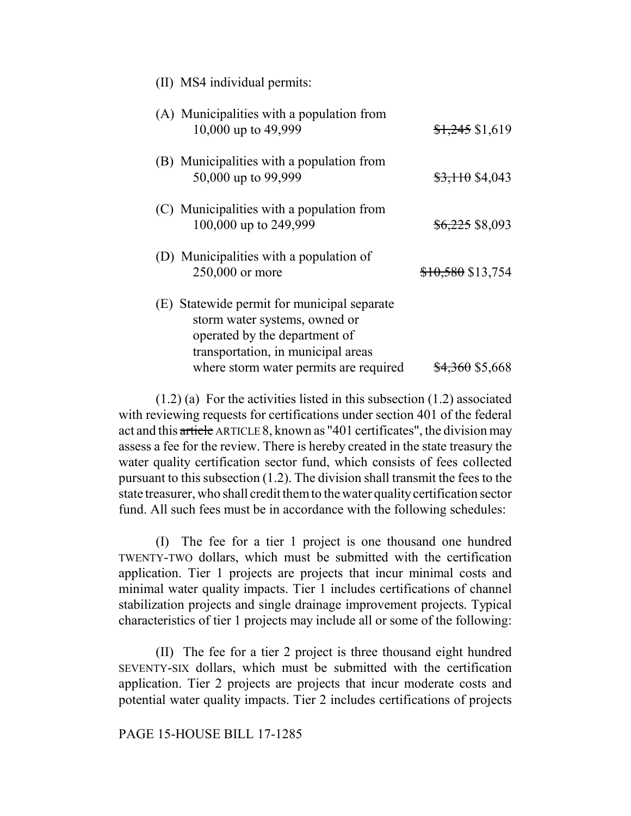| (A) Municipalities with a population from<br>10,000 up to 49,999                                                                                    | $$1,245$ \$1,619           |
|-----------------------------------------------------------------------------------------------------------------------------------------------------|----------------------------|
| (B) Municipalities with a population from<br>50,000 up to 99,999                                                                                    | $$3,110$ \$4,043           |
| (C) Municipalities with a population from<br>100,000 up to 249,999                                                                                  | <del>\$6,225</del> \$8,093 |
| (D) Municipalities with a population of<br>250,000 or more                                                                                          | $$10,580$ \$13,754         |
| (E) Statewide permit for municipal separate<br>storm water systems, owned or<br>operated by the department of<br>transportation, in municipal areas |                            |
| where storm water permits are required                                                                                                              | <del>\$4,360</del> \$5,668 |

(II) MS4 individual permits:

(1.2) (a) For the activities listed in this subsection (1.2) associated with reviewing requests for certifications under section 401 of the federal act and this article ARTICLE 8, known as "401 certificates", the division may assess a fee for the review. There is hereby created in the state treasury the water quality certification sector fund, which consists of fees collected pursuant to this subsection (1.2). The division shall transmit the fees to the state treasurer, who shall credit them to the water quality certification sector fund. All such fees must be in accordance with the following schedules:

(I) The fee for a tier 1 project is one thousand one hundred TWENTY-TWO dollars, which must be submitted with the certification application. Tier 1 projects are projects that incur minimal costs and minimal water quality impacts. Tier 1 includes certifications of channel stabilization projects and single drainage improvement projects. Typical characteristics of tier 1 projects may include all or some of the following:

(II) The fee for a tier 2 project is three thousand eight hundred SEVENTY-SIX dollars, which must be submitted with the certification application. Tier 2 projects are projects that incur moderate costs and potential water quality impacts. Tier 2 includes certifications of projects

#### PAGE 15-HOUSE BILL 17-1285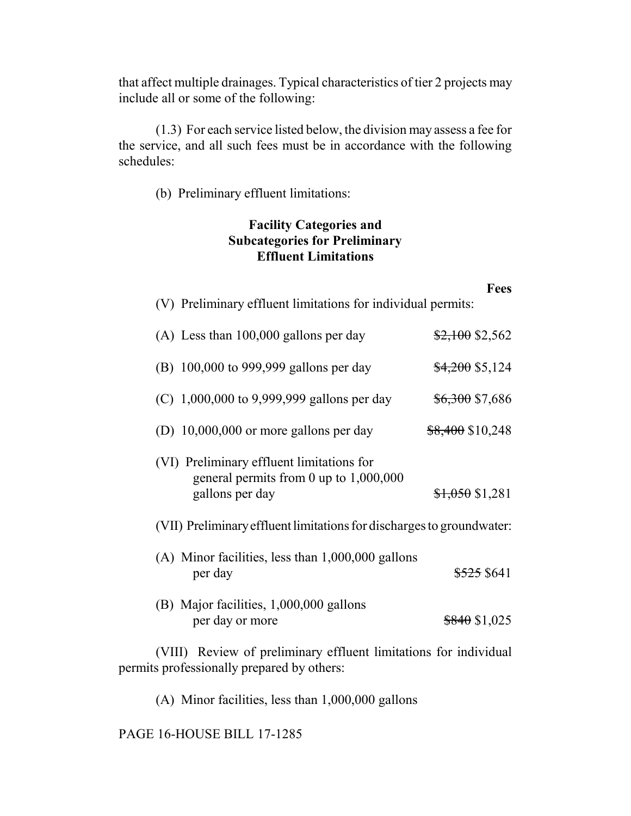that affect multiple drainages. Typical characteristics of tier 2 projects may include all or some of the following:

(1.3) For each service listed below, the division may assess a fee for the service, and all such fees must be in accordance with the following schedules:

(b) Preliminary effluent limitations:

# **Facility Categories and Subcategories for Preliminary Effluent Limitations**

|                                                                                                          | <b>Fees</b>                |
|----------------------------------------------------------------------------------------------------------|----------------------------|
| (V) Preliminary effluent limitations for individual permits:                                             |                            |
| $(A)$ Less than 100,000 gallons per day                                                                  | $$2,100$ \$2,562           |
| (B) 100,000 to 999,999 gallons per day                                                                   | $$4,200$ \$5,124           |
| (C) $1,000,000$ to 9,999,999 gallons per day                                                             | <del>\$6,300</del> \$7,686 |
| (D) 10,000,000 or more gallons per day                                                                   | $$8,400$ \$10,248          |
| (VI) Preliminary effluent limitations for<br>general permits from 0 up to $1,000,000$<br>gallons per day | $$1,050$ \$1,281           |
| (VII) Preliminary effluent limitations for discharges to groundwater:                                    |                            |
| $(A)$ Minor facilities, less than $1,000,000$ gallons<br>per day                                         | \$525 \$641                |
| (B) Major facilities, 1,000,000 gallons<br>per day or more                                               | $$840$ \$1,025             |
|                                                                                                          |                            |

(VIII) Review of preliminary effluent limitations for individual permits professionally prepared by others:

(A) Minor facilities, less than 1,000,000 gallons

PAGE 16-HOUSE BILL 17-1285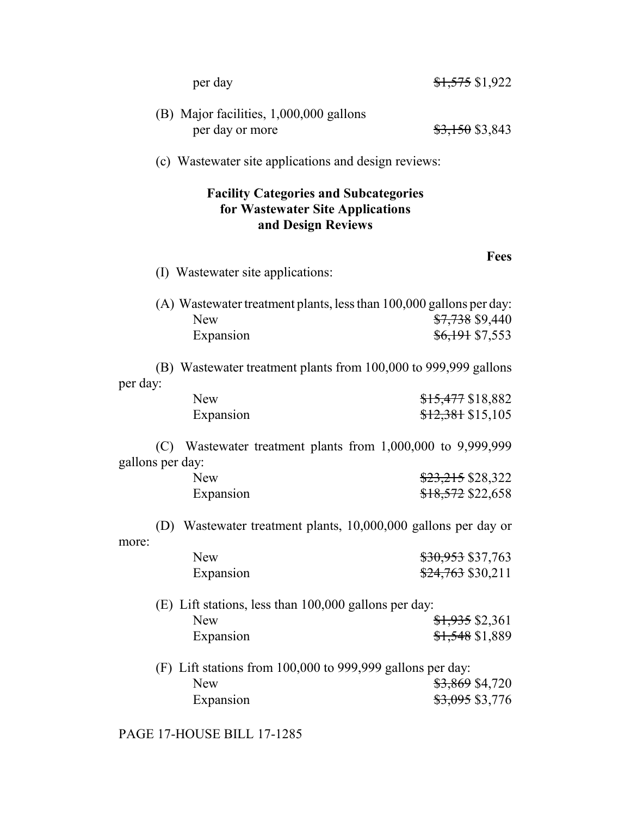| per day                                                                                                | $$1,575$ \$1,922                                                                                                       |  |
|--------------------------------------------------------------------------------------------------------|------------------------------------------------------------------------------------------------------------------------|--|
| (B) Major facilities, 1,000,000 gallons<br>per day or more                                             | $$3,150$ \$3,843                                                                                                       |  |
|                                                                                                        | (c) Wastewater site applications and design reviews:                                                                   |  |
| <b>Facility Categories and Subcategories</b><br>for Wastewater Site Applications<br>and Design Reviews |                                                                                                                        |  |
| (I) Wastewater site applications:                                                                      | <b>Fees</b>                                                                                                            |  |
| <b>New</b><br>Expansion                                                                                | (A) Wastewater treatment plants, less than 100,000 gallons per day:<br>\$7,738 \$9,440<br><del>\$6,191</del> \$7,553   |  |
| (B) Wastewater treatment plants from 100,000 to 999,999 gallons                                        |                                                                                                                        |  |
| per day:<br><b>New</b><br>Expansion                                                                    | <del>\$15,477</del> \$18,882<br>$$12,381$ \$15,105                                                                     |  |
| gallons per day:                                                                                       | (C) Wastewater treatment plants from 1,000,000 to 9,999,999                                                            |  |
| <b>New</b><br>Expansion                                                                                | <del>\$23,215</del> \$28,322<br>\$18,572 \$22,658                                                                      |  |
| (D) Wastewater treatment plants, 10,000,000 gallons per day or                                         |                                                                                                                        |  |
| more:<br><b>New</b><br>Expansion                                                                       | \$30,953 \$37,763<br><del>\$24,763</del> \$30,211                                                                      |  |
| (E) Lift stations, less than 100,000 gallons per day:<br><b>New</b><br>Expansion                       | $\frac{$1,935}{$2,361}$<br><del>\$1,548</del> \$1,889                                                                  |  |
| <b>New</b><br>Expansion                                                                                | (F) Lift stations from 100,000 to 999,999 gallons per day:<br><del>\$3,869</del> \$4,720<br><del>\$3,095</del> \$3,776 |  |

PAGE 17-HOUSE BILL 17-1285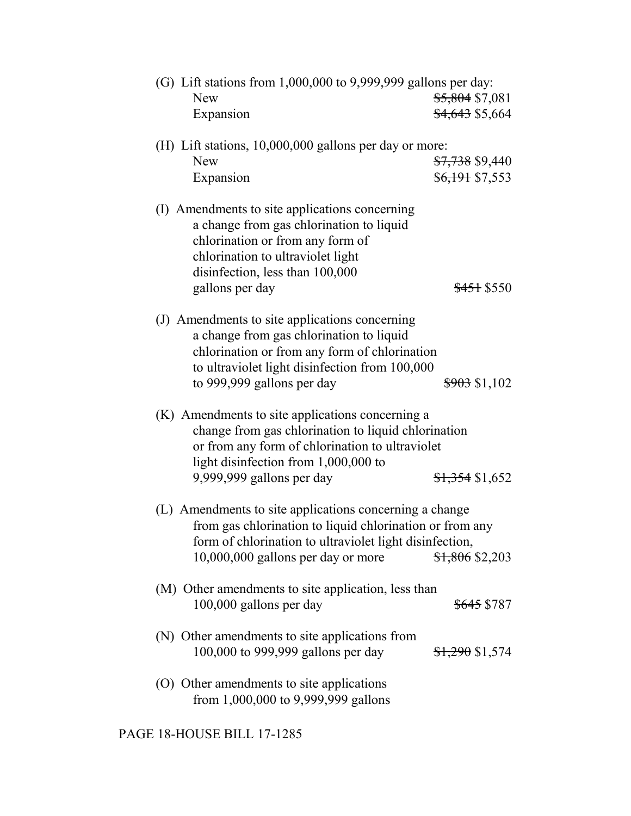| (G) Lift stations from $1,000,000$ to $9,999,999$ gallons per day:                                                                                                                                                              |                                                          |
|---------------------------------------------------------------------------------------------------------------------------------------------------------------------------------------------------------------------------------|----------------------------------------------------------|
| <b>New</b><br>Expansion                                                                                                                                                                                                         | <del>\$5,804</del> \$7,081<br><del>\$4,643</del> \$5,664 |
|                                                                                                                                                                                                                                 |                                                          |
| (H) Lift stations, 10,000,000 gallons per day or more:<br><b>New</b><br>Expansion                                                                                                                                               | <del>\$7,738</del> \$9,440<br>\$6,191 \$7,553            |
| (I) Amendments to site applications concerning<br>a change from gas chlorination to liquid<br>chlorination or from any form of<br>chlorination to ultraviolet light<br>disinfection, less than 100,000<br>gallons per day       | \$451 \$550                                              |
| (J) Amendments to site applications concerning<br>a change from gas chlorination to liquid<br>chlorination or from any form of chlorination<br>to ultraviolet light disinfection from 100,000<br>to 999,999 gallons per day     | <del>\$903</del> \$1,102                                 |
| (K) Amendments to site applications concerning a<br>change from gas chlorination to liquid chlorination<br>or from any form of chlorination to ultraviolet<br>light disinfection from 1,000,000 to<br>9,999,999 gallons per day | $$1,354$ \$1,652                                         |
| (L) Amendments to site applications concerning a change<br>from gas chlorination to liquid chlorination or from any<br>form of chlorination to ultraviolet light disinfection,<br>10,000,000 gallons per day or more            | \$1,806 \$2,203                                          |
| (M) Other amendments to site application, less than<br>100,000 gallons per day                                                                                                                                                  | <del>\$645</del> \$787                                   |
| (N) Other amendments to site applications from<br>100,000 to 999,999 gallons per day                                                                                                                                            | $$1,290$ \$1,574                                         |
| (O) Other amendments to site applications<br>from 1,000,000 to 9,999,999 gallons                                                                                                                                                |                                                          |
| PAGE 18-HOUSE BILL 17-1285                                                                                                                                                                                                      |                                                          |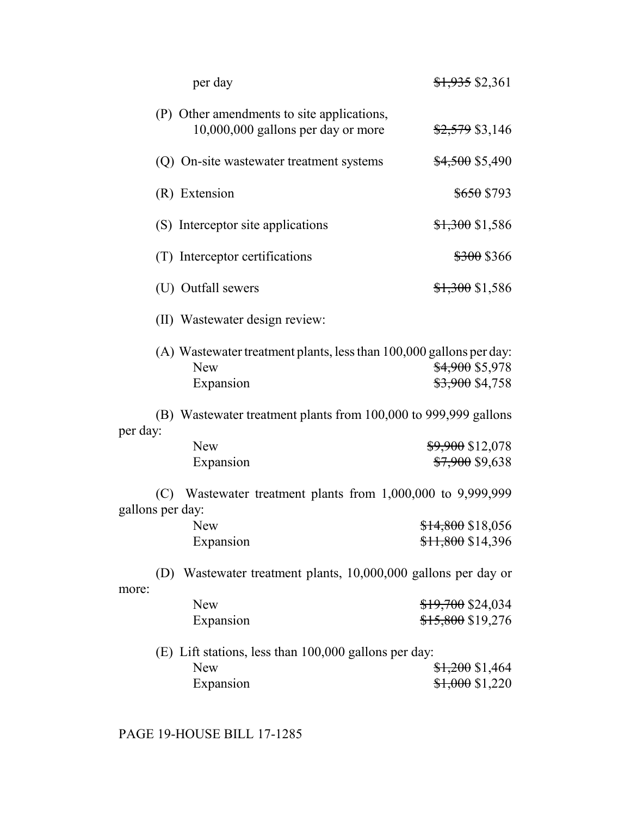| per day                                                                                        | $$1,935$ \$2,361                                         |
|------------------------------------------------------------------------------------------------|----------------------------------------------------------|
| (P) Other amendments to site applications,<br>10,000,000 gallons per day or more               | \$2,579 \$3,146                                          |
| (Q) On-site wastewater treatment systems                                                       | <del>\$4,500</del> \$5,490                               |
| (R) Extension                                                                                  | <del>\$650</del> \$793                                   |
| (S) Interceptor site applications                                                              | $$1,300$ \$1,586                                         |
| (T) Interceptor certifications                                                                 | <del>\$300</del> \$366                                   |
| (U) Outfall sewers                                                                             | $$1,300$ \$1,586                                         |
| (II) Wastewater design review:                                                                 |                                                          |
| (A) Wastewater treatment plants, less than 100,000 gallons per day:<br><b>New</b><br>Expansion | <del>\$4,900</del> \$5,978<br><del>\$3,900</del> \$4,758 |
| (B) Wastewater treatment plants from 100,000 to 999,999 gallons<br>per day:                    |                                                          |
| <b>New</b>                                                                                     | <del>\$9,900</del> \$12,078                              |
| Expansion                                                                                      | <del>\$7,900</del> \$9,638                               |
| (C) Wastewater treatment plants from $1,000,000$ to $9,999,999$                                |                                                          |
| gallons per day:<br><b>New</b>                                                                 | <del>\$14,800</del> \$18,056                             |
| Expansion                                                                                      | $$11,800$ \$14,396                                       |
|                                                                                                |                                                          |
| Wastewater treatment plants, 10,000,000 gallons per day or<br>(D)<br>more:                     |                                                          |
| <b>New</b>                                                                                     | <del>\$19,700</del> \$24,034                             |
| Expansion                                                                                      | <del>\$15,800</del> \$19,276                             |
|                                                                                                |                                                          |
| (E) Lift stations, less than 100,000 gallons per day:                                          |                                                          |
| <b>New</b>                                                                                     | <del>\$1,200</del> \$1,464                               |
| Expansion                                                                                      | $$1,000$ \$1,220                                         |

PAGE 19-HOUSE BILL 17-1285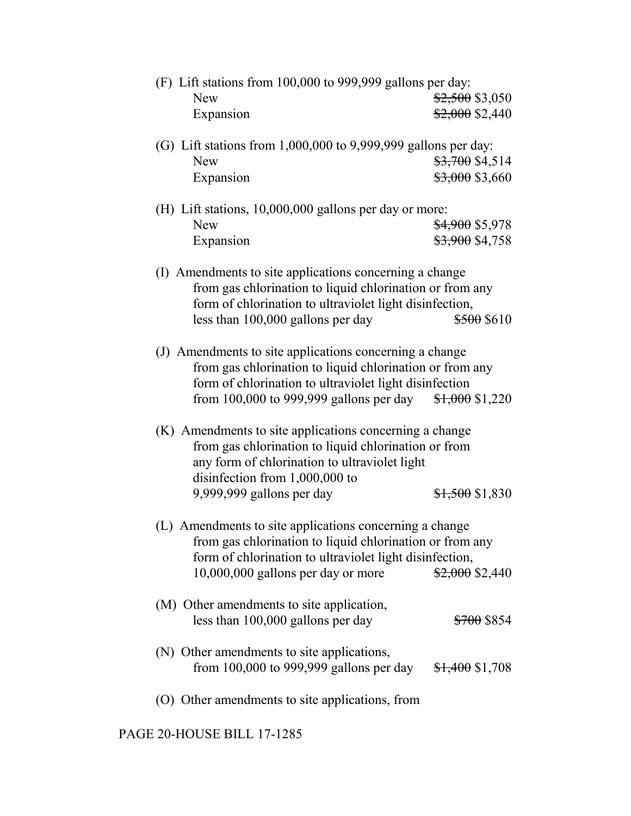| (F) Lift stations from 100,000 to 999,999 gallons per day:<br><b>New</b><br>Expansion                                                                                                                                           | $$2,500$ \$3,050<br>$$2,000$ \$2,440                     |
|---------------------------------------------------------------------------------------------------------------------------------------------------------------------------------------------------------------------------------|----------------------------------------------------------|
| (G) Lift stations from $1,000,000$ to $9,999,999$ gallons per day:<br><b>New</b><br>Expansion                                                                                                                                   | \$3,700 \$4,514<br>\$3,000 \$3,660                       |
| (H) Lift stations, 10,000,000 gallons per day or more:<br><b>New</b><br>Expansion                                                                                                                                               | <del>\$4,900</del> \$5,978<br><del>\$3,900</del> \$4,758 |
| (I) Amendments to site applications concerning a change<br>from gas chlorination to liquid chlorination or from any<br>form of chlorination to ultraviolet light disinfection,<br>less than 100,000 gallons per day             | \$500 \$610                                              |
| (J) Amendments to site applications concerning a change<br>from gas chlorination to liquid chlorination or from any<br>form of chlorination to ultraviolet light disinfection<br>from $100,000$ to 999,999 gallons per day      | $$1,000$ \$1,220                                         |
| (K) Amendments to site applications concerning a change<br>from gas chlorination to liquid chlorination or from<br>any form of chlorination to ultraviolet light<br>disinfection from 1,000,000 to<br>9,999,999 gallons per day | $$1,500$ \$1,830                                         |
| (L) Amendments to site applications concerning a change<br>from gas chlorination to liquid chlorination or from any<br>form of chlorination to ultraviolet light disinfection,<br>10,000,000 gallons per day or more            | $$2,000$ \$2,440                                         |
| (M) Other amendments to site application,<br>less than 100,000 gallons per day                                                                                                                                                  | <del>\$700</del> \$854                                   |
| (N) Other amendments to site applications,<br>from $100,000$ to 999,999 gallons per day                                                                                                                                         | $$1,400$ \$1,708                                         |
| (O) Other amendments to site applications, from                                                                                                                                                                                 |                                                          |

PAGE 20-HOUSE BILL 17-1285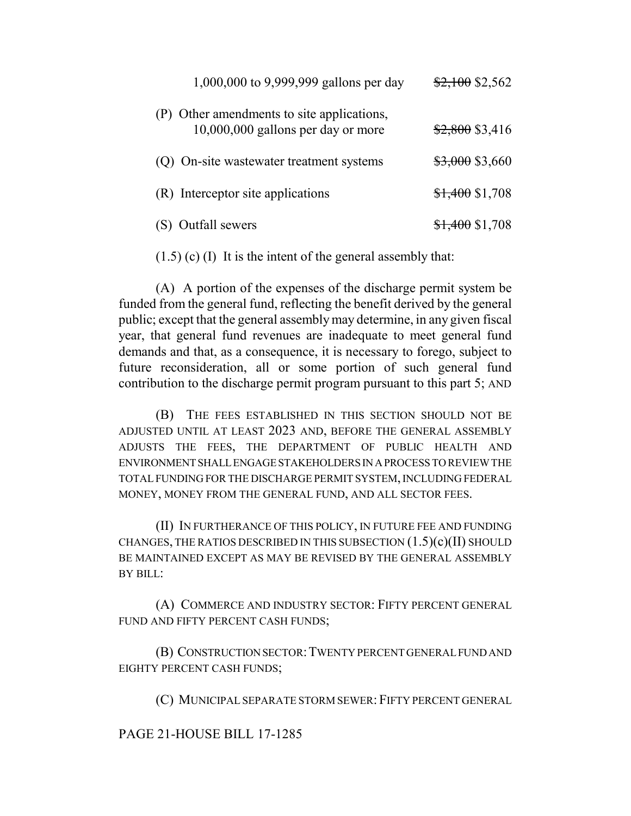| 1,000,000 to 9,999,999 gallons per day                                           | $$2,100$ \$2,562 |
|----------------------------------------------------------------------------------|------------------|
| (P) Other amendments to site applications,<br>10,000,000 gallons per day or more | $$2,800$ \$3,416 |
| (Q) On-site wastewater treatment systems                                         | \$3,000 \$3,660  |
| (R) Interceptor site applications                                                | $$1,400$ \$1,708 |
| Outfall sewers                                                                   | $$1,400$ \$1,708 |

(1.5) (c) (I) It is the intent of the general assembly that:

(A) A portion of the expenses of the discharge permit system be funded from the general fund, reflecting the benefit derived by the general public; except that the general assembly may determine, in any given fiscal year, that general fund revenues are inadequate to meet general fund demands and that, as a consequence, it is necessary to forego, subject to future reconsideration, all or some portion of such general fund contribution to the discharge permit program pursuant to this part 5; AND

(B) THE FEES ESTABLISHED IN THIS SECTION SHOULD NOT BE ADJUSTED UNTIL AT LEAST 2023 AND, BEFORE THE GENERAL ASSEMBLY ADJUSTS THE FEES, THE DEPARTMENT OF PUBLIC HEALTH AND ENVIRONMENT SHALL ENGAGE STAKEHOLDERS IN A PROCESS TO REVIEW THE TOTAL FUNDING FOR THE DISCHARGE PERMIT SYSTEM, INCLUDING FEDERAL MONEY, MONEY FROM THE GENERAL FUND, AND ALL SECTOR FEES.

(II) IN FURTHERANCE OF THIS POLICY, IN FUTURE FEE AND FUNDING CHANGES, THE RATIOS DESCRIBED IN THIS SUBSECTION  $(1.5)(c)(II)$  SHOULD BE MAINTAINED EXCEPT AS MAY BE REVISED BY THE GENERAL ASSEMBLY BY BILL:

(A) COMMERCE AND INDUSTRY SECTOR: FIFTY PERCENT GENERAL FUND AND FIFTY PERCENT CASH FUNDS;

(B) CONSTRUCTION SECTOR:TWENTY PERCENT GENERAL FUND AND EIGHTY PERCENT CASH FUNDS;

(C) MUNICIPAL SEPARATE STORM SEWER: FIFTY PERCENT GENERAL

PAGE 21-HOUSE BILL 17-1285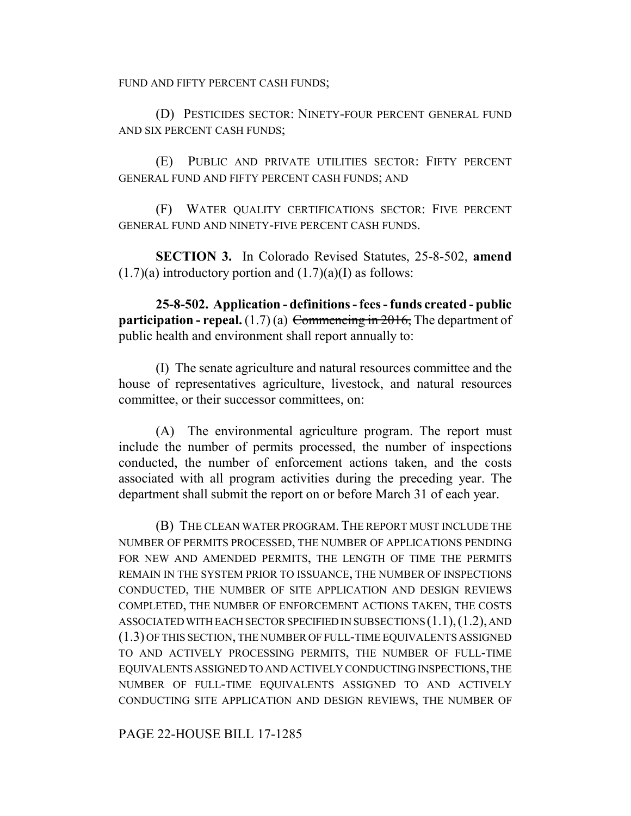FUND AND FIFTY PERCENT CASH FUNDS;

(D) PESTICIDES SECTOR: NINETY-FOUR PERCENT GENERAL FUND AND SIX PERCENT CASH FUNDS;

(E) PUBLIC AND PRIVATE UTILITIES SECTOR: FIFTY PERCENT GENERAL FUND AND FIFTY PERCENT CASH FUNDS; AND

(F) WATER QUALITY CERTIFICATIONS SECTOR: FIVE PERCENT GENERAL FUND AND NINETY-FIVE PERCENT CASH FUNDS.

**SECTION 3.** In Colorado Revised Statutes, 25-8-502, **amend**  $(1.7)(a)$  introductory portion and  $(1.7)(a)$ (I) as follows:

**25-8-502. Application - definitions - fees - funds created - public participation - repeal.**  $(1.7)(a)$  Commencing in 2016, The department of public health and environment shall report annually to:

(I) The senate agriculture and natural resources committee and the house of representatives agriculture, livestock, and natural resources committee, or their successor committees, on:

(A) The environmental agriculture program. The report must include the number of permits processed, the number of inspections conducted, the number of enforcement actions taken, and the costs associated with all program activities during the preceding year. The department shall submit the report on or before March 31 of each year.

(B) THE CLEAN WATER PROGRAM. THE REPORT MUST INCLUDE THE NUMBER OF PERMITS PROCESSED, THE NUMBER OF APPLICATIONS PENDING FOR NEW AND AMENDED PERMITS, THE LENGTH OF TIME THE PERMITS REMAIN IN THE SYSTEM PRIOR TO ISSUANCE, THE NUMBER OF INSPECTIONS CONDUCTED, THE NUMBER OF SITE APPLICATION AND DESIGN REVIEWS COMPLETED, THE NUMBER OF ENFORCEMENT ACTIONS TAKEN, THE COSTS ASSOCIATED WITH EACH SECTOR SPECIFIED IN SUBSECTIONS (1.1),(1.2), AND (1.3) OF THIS SECTION, THE NUMBER OF FULL-TIME EQUIVALENTS ASSIGNED TO AND ACTIVELY PROCESSING PERMITS, THE NUMBER OF FULL-TIME EQUIVALENTS ASSIGNED TO AND ACTIVELY CONDUCTING INSPECTIONS, THE NUMBER OF FULL-TIME EQUIVALENTS ASSIGNED TO AND ACTIVELY CONDUCTING SITE APPLICATION AND DESIGN REVIEWS, THE NUMBER OF

PAGE 22-HOUSE BILL 17-1285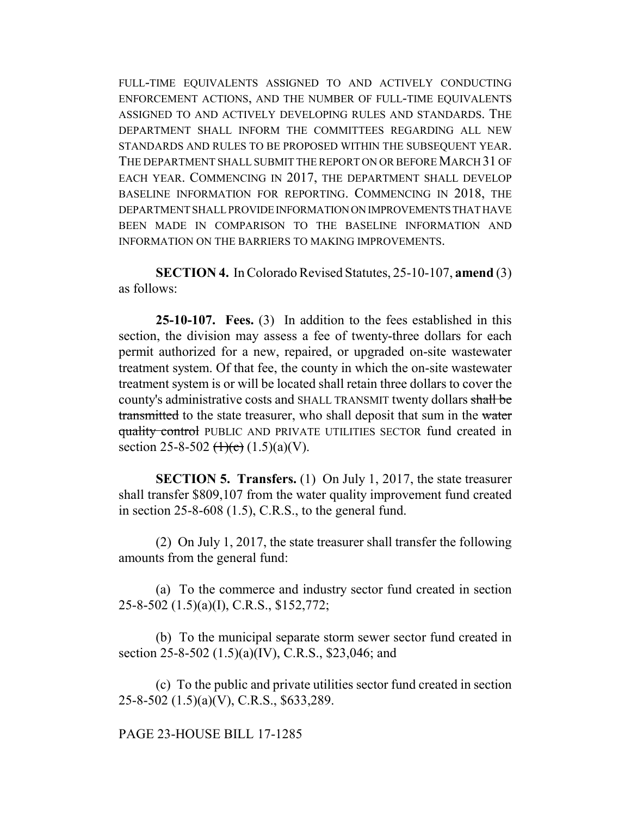FULL-TIME EQUIVALENTS ASSIGNED TO AND ACTIVELY CONDUCTING ENFORCEMENT ACTIONS, AND THE NUMBER OF FULL-TIME EQUIVALENTS ASSIGNED TO AND ACTIVELY DEVELOPING RULES AND STANDARDS. THE DEPARTMENT SHALL INFORM THE COMMITTEES REGARDING ALL NEW STANDARDS AND RULES TO BE PROPOSED WITHIN THE SUBSEQUENT YEAR. THE DEPARTMENT SHALL SUBMIT THE REPORT ON OR BEFORE MARCH 31 OF EACH YEAR. COMMENCING IN 2017, THE DEPARTMENT SHALL DEVELOP BASELINE INFORMATION FOR REPORTING. COMMENCING IN 2018, THE DEPARTMENT SHALL PROVIDE INFORMATION ON IMPROVEMENTS THAT HAVE BEEN MADE IN COMPARISON TO THE BASELINE INFORMATION AND INFORMATION ON THE BARRIERS TO MAKING IMPROVEMENTS.

**SECTION 4.** In Colorado Revised Statutes, 25-10-107, **amend** (3) as follows:

**25-10-107. Fees.** (3) In addition to the fees established in this section, the division may assess a fee of twenty-three dollars for each permit authorized for a new, repaired, or upgraded on-site wastewater treatment system. Of that fee, the county in which the on-site wastewater treatment system is or will be located shall retain three dollars to cover the county's administrative costs and SHALL TRANSMIT twenty dollars shall be transmitted to the state treasurer, who shall deposit that sum in the water quality control PUBLIC AND PRIVATE UTILITIES SECTOR fund created in section 25-8-502  $(\frac{1}{c})$  (1.5)(a)(V).

**SECTION 5. Transfers.** (1) On July 1, 2017, the state treasurer shall transfer \$809,107 from the water quality improvement fund created in section  $25-8-608$  (1.5), C.R.S., to the general fund.

(2) On July 1, 2017, the state treasurer shall transfer the following amounts from the general fund:

(a) To the commerce and industry sector fund created in section 25-8-502 (1.5)(a)(I), C.R.S., \$152,772;

(b) To the municipal separate storm sewer sector fund created in section 25-8-502 (1.5)(a)(IV), C.R.S., \$23,046; and

(c) To the public and private utilities sector fund created in section 25-8-502 (1.5)(a)(V), C.R.S., \$633,289.

PAGE 23-HOUSE BILL 17-1285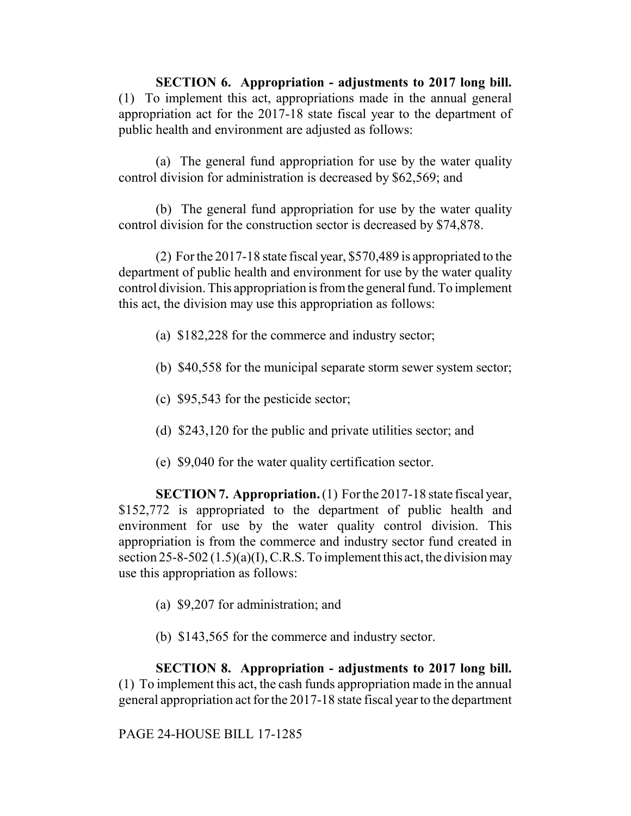**SECTION 6. Appropriation - adjustments to 2017 long bill.** (1) To implement this act, appropriations made in the annual general appropriation act for the 2017-18 state fiscal year to the department of public health and environment are adjusted as follows:

(a) The general fund appropriation for use by the water quality control division for administration is decreased by \$62,569; and

(b) The general fund appropriation for use by the water quality control division for the construction sector is decreased by \$74,878.

(2) For the 2017-18 state fiscal year, \$570,489 is appropriated to the department of public health and environment for use by the water quality control division. This appropriation is from the general fund. To implement this act, the division may use this appropriation as follows:

- (a) \$182,228 for the commerce and industry sector;
- (b) \$40,558 for the municipal separate storm sewer system sector;
- (c) \$95,543 for the pesticide sector;
- (d) \$243,120 for the public and private utilities sector; and
- (e) \$9,040 for the water quality certification sector.

**SECTION 7. Appropriation.** (1) For the 2017-18 state fiscal year, \$152,772 is appropriated to the department of public health and environment for use by the water quality control division. This appropriation is from the commerce and industry sector fund created in section  $25-8-502(1.5)(a)(I)$ , C.R.S. To implement this act, the division may use this appropriation as follows:

- (a) \$9,207 for administration; and
- (b) \$143,565 for the commerce and industry sector.

**SECTION 8. Appropriation - adjustments to 2017 long bill.** (1) To implement this act, the cash funds appropriation made in the annual general appropriation act for the 2017-18 state fiscal year to the department

PAGE 24-HOUSE BILL 17-1285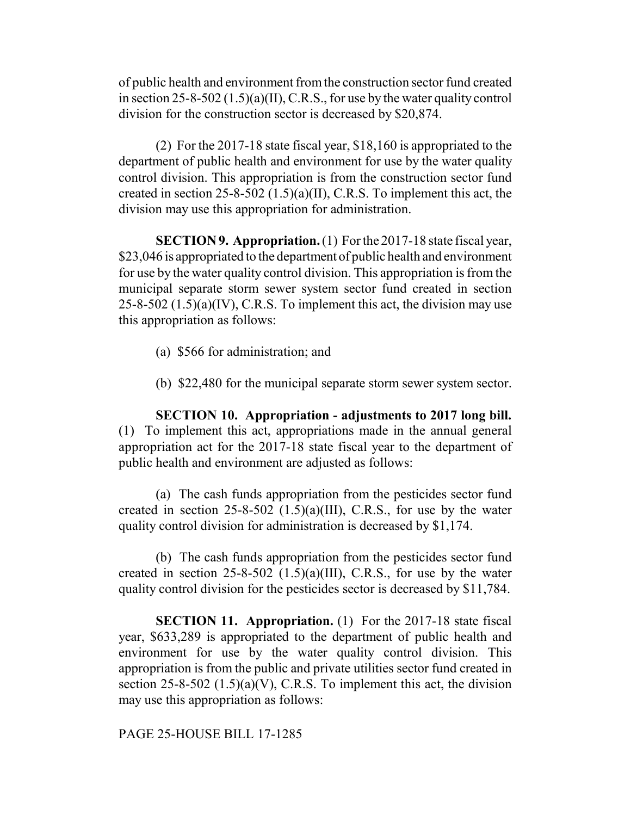of public health and environment from the construction sector fund created in section 25-8-502  $(1.5)(a)(II)$ , C.R.S., for use by the water quality control division for the construction sector is decreased by \$20,874.

(2) For the 2017-18 state fiscal year, \$18,160 is appropriated to the department of public health and environment for use by the water quality control division. This appropriation is from the construction sector fund created in section 25-8-502 (1.5)(a)(II), C.R.S. To implement this act, the division may use this appropriation for administration.

**SECTION 9. Appropriation.** (1) For the 2017-18 state fiscal year, \$23,046 is appropriated to the department of public health and environment for use by the water quality control division. This appropriation is from the municipal separate storm sewer system sector fund created in section  $25-8-502$  (1.5)(a)(IV), C.R.S. To implement this act, the division may use this appropriation as follows:

- (a) \$566 for administration; and
- (b) \$22,480 for the municipal separate storm sewer system sector.

**SECTION 10. Appropriation - adjustments to 2017 long bill.** (1) To implement this act, appropriations made in the annual general appropriation act for the 2017-18 state fiscal year to the department of public health and environment are adjusted as follows:

(a) The cash funds appropriation from the pesticides sector fund created in section  $25-8-502$  (1.5)(a)(III), C.R.S., for use by the water quality control division for administration is decreased by \$1,174.

(b) The cash funds appropriation from the pesticides sector fund created in section  $25-8-502$  (1.5)(a)(III), C.R.S., for use by the water quality control division for the pesticides sector is decreased by \$11,784.

**SECTION 11. Appropriation.** (1) For the 2017-18 state fiscal year, \$633,289 is appropriated to the department of public health and environment for use by the water quality control division. This appropriation is from the public and private utilities sector fund created in section 25-8-502  $(1.5)(a)(V)$ , C.R.S. To implement this act, the division may use this appropriation as follows:

PAGE 25-HOUSE BILL 17-1285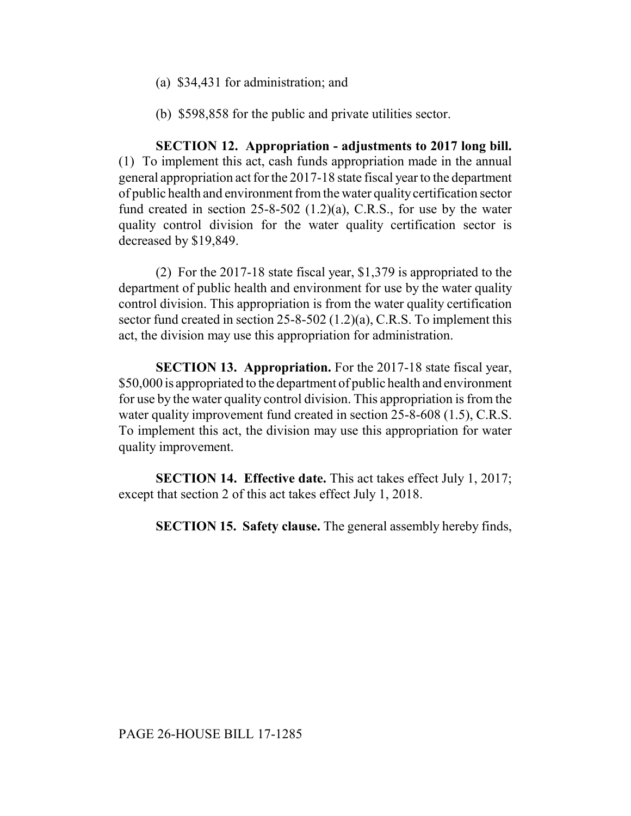- (a) \$34,431 for administration; and
- (b) \$598,858 for the public and private utilities sector.

**SECTION 12. Appropriation - adjustments to 2017 long bill.** (1) To implement this act, cash funds appropriation made in the annual general appropriation act for the 2017-18 state fiscal year to the department of public health and environment from the water quality certification sector fund created in section  $25-8-502$  (1.2)(a), C.R.S., for use by the water quality control division for the water quality certification sector is decreased by \$19,849.

(2) For the 2017-18 state fiscal year, \$1,379 is appropriated to the department of public health and environment for use by the water quality control division. This appropriation is from the water quality certification sector fund created in section 25-8-502 (1.2)(a), C.R.S. To implement this act, the division may use this appropriation for administration.

**SECTION 13. Appropriation.** For the 2017-18 state fiscal year, \$50,000 is appropriated to the department of public health and environment for use by the water quality control division. This appropriation is from the water quality improvement fund created in section 25-8-608 (1.5), C.R.S. To implement this act, the division may use this appropriation for water quality improvement.

**SECTION 14. Effective date.** This act takes effect July 1, 2017; except that section 2 of this act takes effect July 1, 2018.

**SECTION 15. Safety clause.** The general assembly hereby finds,